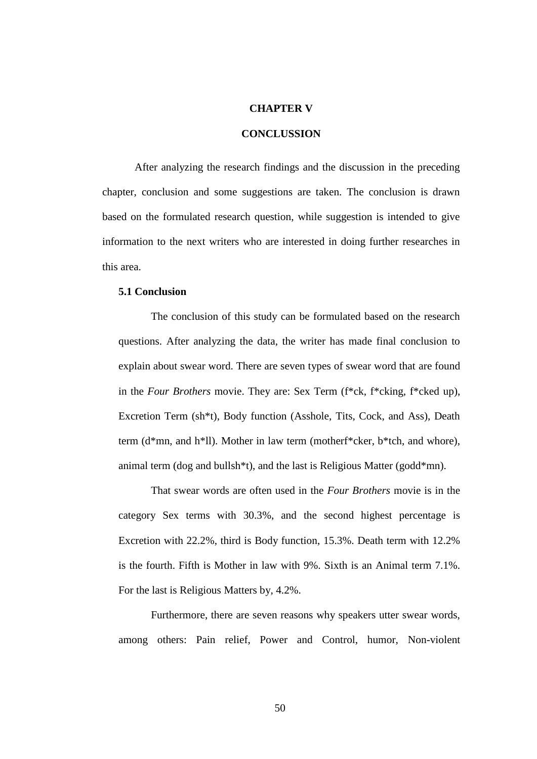## **CHAPTER V**

## **CONCLUSSION**

After analyzing the research findings and the discussion in the preceding chapter, conclusion and some suggestions are taken. The conclusion is drawn based on the formulated research question, while suggestion is intended to give information to the next writers who are interested in doing further researches in this area.

## **5.1 Conclusion**

The conclusion of this study can be formulated based on the research questions. After analyzing the data, the writer has made final conclusion to explain about swear word. There are seven types of swear word that are found in the *Four Brothers* movie. They are: Sex Term (f\*ck, f\*cking, f\*cked up), Excretion Term (sh\*t), Body function (Asshole, Tits, Cock, and Ass), Death term (d\*mn, and h\*ll). Mother in law term (motherf\*cker, b\*tch, and whore), animal term (dog and bullsh\*t), and the last is Religious Matter (godd\*mn).

That swear words are often used in the *Four Brothers* movie is in the category Sex terms with 30.3%, and the second highest percentage is Excretion with 22.2%, third is Body function, 15.3%. Death term with 12.2% is the fourth. Fifth is Mother in law with 9%. Sixth is an Animal term 7.1%. For the last is Religious Matters by, 4.2%.

Furthermore, there are seven reasons why speakers utter swear words, among others: Pain relief, Power and Control, humor, Non-violent

50